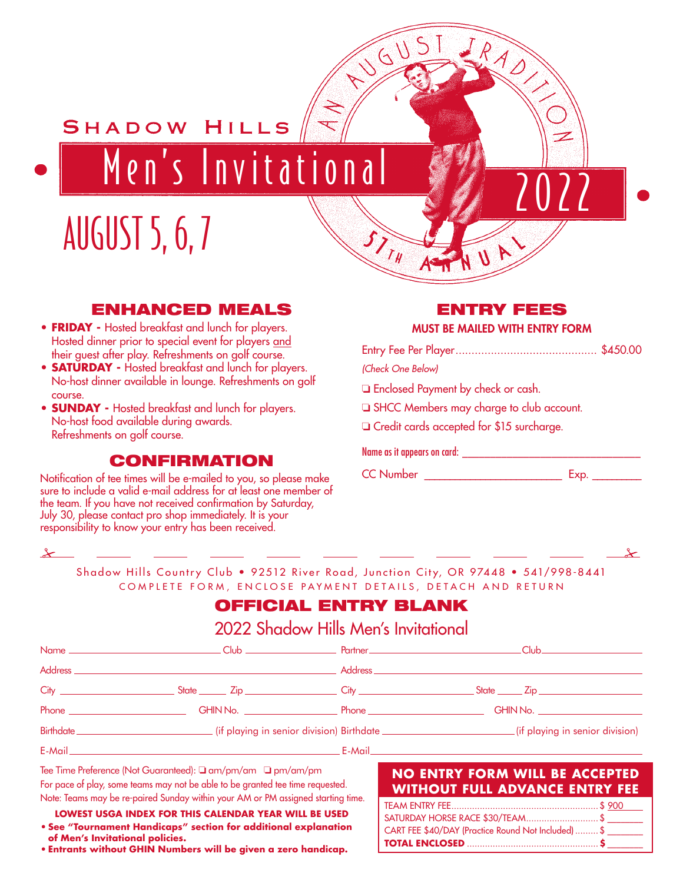Men's Invitational

# AUGUST 5, 6, 7

#### ENHANCED MEALS

SHADOW HILLS

- **FRIDAY** Hosted breakfast and lunch for players. Hosted dinner prior to special event for players and their guest after play. Refreshments on golf course.
- **SATURDAY** Hosted breakfast and lunch for players. No-host dinner available in lounge. Refreshments on golf course.
- **SUNDAY** Hosted breakfast and lunch for players. No-host food available during awards. Refreshments on golf course.

#### **CONFIRMATION**

responsibility to know your entry has been received. The state of the state of the state of the state of the state of the state of the state of the state of the state of the state of the state of the state of the state of Notification of tee times will be e-mailed to you, so please make sure to include a valid e-mail address for at least one member of the team. If you have not received confirmation by Saturday, July 30, please contact pro shop immediately. It is your

#### NTRY FEES

#### MUST BE MAILED WITH ENTRY FORM

2022

| (Check One Below)                                |  |
|--------------------------------------------------|--|
| Enclosed Payment by check or cash.               |  |
| SHCC Members may charge to club account.         |  |
| $\Box$ Credit cards accepted for \$15 surcharge. |  |

#### Name as it appears on card: \_\_\_\_\_\_\_\_\_\_\_\_\_\_\_\_\_\_\_\_\_\_\_\_\_\_\_\_\_\_\_\_

CC Number **Exp.** Exp.

 $I_{I_{\#}}$ 

AUS US

 $\overline{\mathscr{A}}$ 

Shadow Hills Country Club • 92512 River Road, Junction City, OR 97448 • 541/998-8441 COMPLETE FORM, ENCLOSE PAYMENT DETAILS, DETACH AND RETURN

# **NAME CLUB PARTICIAL ENTRY BLANK**

**CHROMAL ENTRY BLANK** 

| <b>GHIN No.</b> Phone <b>Phone</b> | GHIN No. |
|------------------------------------|----------|
|                                    |          |

E-Mail E-Mail Note: Teams will be re-paired on Sunday in your AM or PM assigned time (no exceptions).

Tee Time Preference (Not Guaranteed): ❏ am/pm/am ❏ pm/am/pm For pace of play, some teams may not be able to be granted tee time requested. For pace of play, some teams may not be able to be granted tee time requested.

Note: Teams may be re-paired Sunday within your AM or PM assigned starting time.

**LOWEST USGA INDEX FOR THIS CALENDAR YEAR WILL BE USED • See "Tournament Handicaps" section for additional explanation of Men's Invitational policies.**

**• Entrants without GHIN Numbers will be given a zero handicap.**

#### **NO ENTRY FORM WILL BE ACCEPTED WITHOUT FULL ADVANCE ENTRY FEE**

| SATURDAY HORSE RACE \$30/TEAM\$                     |  |
|-----------------------------------------------------|--|
| CART FEE \$40/DAY (Practice Round Not Included)  \$ |  |
|                                                     |  |